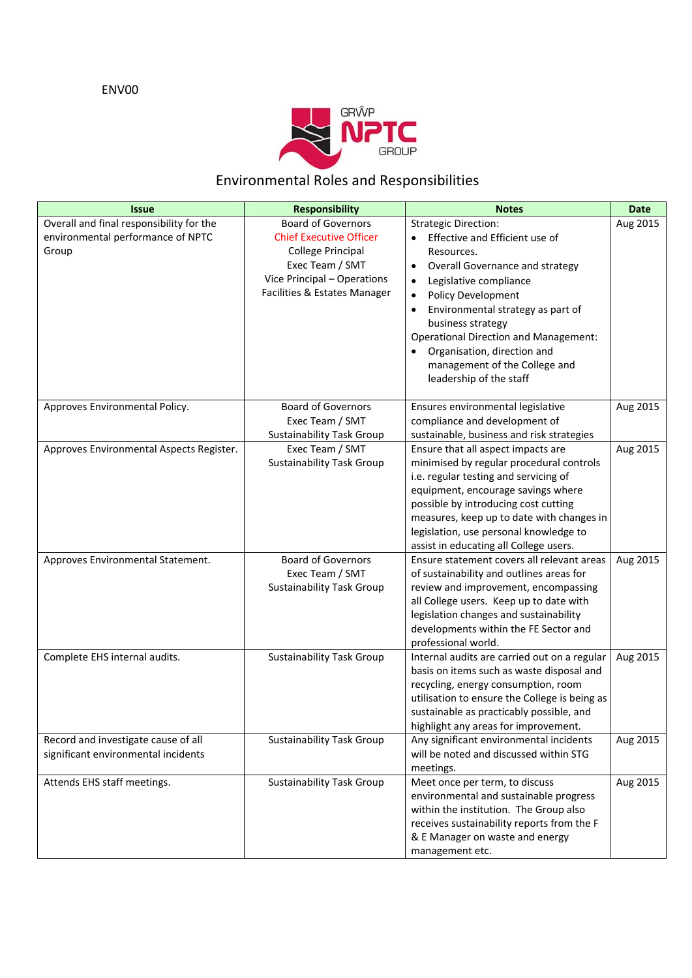### ENV00



### Environmental Roles and Responsibilities

| <b>Issue</b>                             | <b>Responsibility</b>                                       | <b>Notes</b>                                                                         | <b>Date</b> |
|------------------------------------------|-------------------------------------------------------------|--------------------------------------------------------------------------------------|-------------|
| Overall and final responsibility for the | <b>Board of Governors</b>                                   | <b>Strategic Direction:</b>                                                          | Aug 2015    |
| environmental performance of NPTC        | <b>Chief Executive Officer</b>                              | Effective and Efficient use of                                                       |             |
| Group                                    | College Principal                                           | Resources.                                                                           |             |
|                                          | Exec Team / SMT                                             | Overall Governance and strategy<br>$\bullet$                                         |             |
|                                          | Vice Principal - Operations<br>Facilities & Estates Manager | Legislative compliance<br>$\bullet$                                                  |             |
|                                          |                                                             | Policy Development<br>$\bullet$                                                      |             |
|                                          |                                                             | Environmental strategy as part of<br>$\bullet$                                       |             |
|                                          |                                                             | business strategy<br><b>Operational Direction and Management:</b>                    |             |
|                                          |                                                             | Organisation, direction and                                                          |             |
|                                          |                                                             | management of the College and                                                        |             |
|                                          |                                                             | leadership of the staff                                                              |             |
|                                          |                                                             |                                                                                      |             |
| Approves Environmental Policy.           | <b>Board of Governors</b>                                   | Ensures environmental legislative                                                    | Aug 2015    |
|                                          | Exec Team / SMT                                             | compliance and development of                                                        |             |
|                                          | <b>Sustainability Task Group</b>                            | sustainable, business and risk strategies                                            |             |
| Approves Environmental Aspects Register. | Exec Team / SMT                                             | Ensure that all aspect impacts are                                                   | Aug 2015    |
|                                          | <b>Sustainability Task Group</b>                            | minimised by regular procedural controls                                             |             |
|                                          |                                                             | i.e. regular testing and servicing of                                                |             |
|                                          |                                                             | equipment, encourage savings where                                                   |             |
|                                          |                                                             | possible by introducing cost cutting<br>measures, keep up to date with changes in    |             |
|                                          |                                                             | legislation, use personal knowledge to                                               |             |
|                                          |                                                             | assist in educating all College users.                                               |             |
| Approves Environmental Statement.        | <b>Board of Governors</b>                                   | Ensure statement covers all relevant areas                                           | Aug 2015    |
|                                          | Exec Team / SMT                                             | of sustainability and outlines areas for                                             |             |
|                                          | <b>Sustainability Task Group</b>                            | review and improvement, encompassing                                                 |             |
|                                          |                                                             | all College users. Keep up to date with                                              |             |
|                                          |                                                             | legislation changes and sustainability                                               |             |
|                                          |                                                             | developments within the FE Sector and                                                |             |
|                                          |                                                             | professional world.                                                                  |             |
| Complete EHS internal audits.            | <b>Sustainability Task Group</b>                            | Internal audits are carried out on a regular                                         | Aug 2015    |
|                                          |                                                             | basis on items such as waste disposal and                                            |             |
|                                          |                                                             | recycling, energy consumption, room<br>utilisation to ensure the College is being as |             |
|                                          |                                                             | sustainable as practicably possible, and                                             |             |
|                                          |                                                             | highlight any areas for improvement.                                                 |             |
| Record and investigate cause of all      | <b>Sustainability Task Group</b>                            | Any significant environmental incidents                                              | Aug 2015    |
| significant environmental incidents      |                                                             | will be noted and discussed within STG                                               |             |
|                                          |                                                             | meetings.                                                                            |             |
| Attends EHS staff meetings.              | <b>Sustainability Task Group</b>                            | Meet once per term, to discuss                                                       | Aug 2015    |
|                                          |                                                             | environmental and sustainable progress                                               |             |
|                                          |                                                             | within the institution. The Group also                                               |             |
|                                          |                                                             | receives sustainability reports from the F                                           |             |
|                                          |                                                             | & E Manager on waste and energy                                                      |             |
|                                          |                                                             | management etc.                                                                      |             |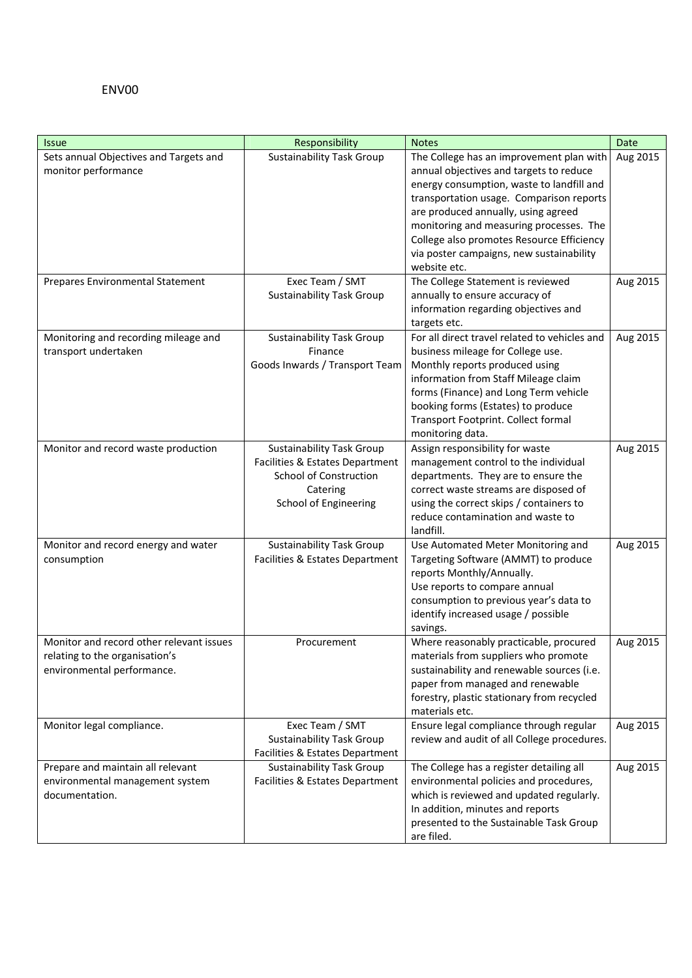#### ENV00

| <b>Issue</b>                             | Responsibility                   | <b>Notes</b>                                                                       | Date     |
|------------------------------------------|----------------------------------|------------------------------------------------------------------------------------|----------|
| Sets annual Objectives and Targets and   | <b>Sustainability Task Group</b> | The College has an improvement plan with                                           | Aug 2015 |
| monitor performance                      |                                  | annual objectives and targets to reduce                                            |          |
|                                          |                                  | energy consumption, waste to landfill and                                          |          |
|                                          |                                  | transportation usage. Comparison reports                                           |          |
|                                          |                                  | are produced annually, using agreed                                                |          |
|                                          |                                  | monitoring and measuring processes. The                                            |          |
|                                          |                                  | College also promotes Resource Efficiency                                          |          |
|                                          |                                  | via poster campaigns, new sustainability                                           |          |
|                                          |                                  | website etc.                                                                       |          |
| Prepares Environmental Statement         | Exec Team / SMT                  | The College Statement is reviewed                                                  | Aug 2015 |
|                                          | <b>Sustainability Task Group</b> | annually to ensure accuracy of                                                     |          |
|                                          |                                  | information regarding objectives and                                               |          |
|                                          |                                  | targets etc.                                                                       |          |
| Monitoring and recording mileage and     | <b>Sustainability Task Group</b> | For all direct travel related to vehicles and                                      | Aug 2015 |
| transport undertaken                     | Finance                          | business mileage for College use.                                                  |          |
|                                          | Goods Inwards / Transport Team   | Monthly reports produced using                                                     |          |
|                                          |                                  | information from Staff Mileage claim                                               |          |
|                                          |                                  | forms (Finance) and Long Term vehicle                                              |          |
|                                          |                                  | booking forms (Estates) to produce                                                 |          |
|                                          |                                  | Transport Footprint. Collect formal                                                |          |
|                                          |                                  | monitoring data.                                                                   |          |
| Monitor and record waste production      | <b>Sustainability Task Group</b> | Assign responsibility for waste                                                    | Aug 2015 |
|                                          | Facilities & Estates Department  | management control to the individual                                               |          |
|                                          | <b>School of Construction</b>    | departments. They are to ensure the                                                |          |
|                                          | Catering                         | correct waste streams are disposed of                                              |          |
|                                          | School of Engineering            | using the correct skips / containers to                                            |          |
|                                          |                                  | reduce contamination and waste to                                                  |          |
|                                          |                                  | landfill.                                                                          |          |
| Monitor and record energy and water      | <b>Sustainability Task Group</b> | Use Automated Meter Monitoring and                                                 | Aug 2015 |
| consumption                              | Facilities & Estates Department  | Targeting Software (AMMT) to produce                                               |          |
|                                          |                                  | reports Monthly/Annually.<br>Use reports to compare annual                         |          |
|                                          |                                  | consumption to previous year's data to                                             |          |
|                                          |                                  | identify increased usage / possible                                                |          |
|                                          |                                  |                                                                                    |          |
| Monitor and record other relevant issues | Procurement                      | savings.<br>Where reasonably practicable, procured                                 |          |
| relating to the organisation's           |                                  |                                                                                    | Aug 2015 |
| environmental performance.               |                                  | materials from suppliers who promote<br>sustainability and renewable sources (i.e. |          |
|                                          |                                  | paper from managed and renewable                                                   |          |
|                                          |                                  | forestry, plastic stationary from recycled                                         |          |
|                                          |                                  | materials etc.                                                                     |          |
| Monitor legal compliance.                | Exec Team / SMT                  | Ensure legal compliance through regular                                            | Aug 2015 |
|                                          | <b>Sustainability Task Group</b> | review and audit of all College procedures.                                        |          |
|                                          | Facilities & Estates Department  |                                                                                    |          |
| Prepare and maintain all relevant        | <b>Sustainability Task Group</b> | The College has a register detailing all                                           | Aug 2015 |
| environmental management system          | Facilities & Estates Department  | environmental policies and procedures,                                             |          |
| documentation.                           |                                  | which is reviewed and updated regularly.                                           |          |
|                                          |                                  | In addition, minutes and reports                                                   |          |
|                                          |                                  | presented to the Sustainable Task Group                                            |          |
|                                          |                                  | are filed.                                                                         |          |